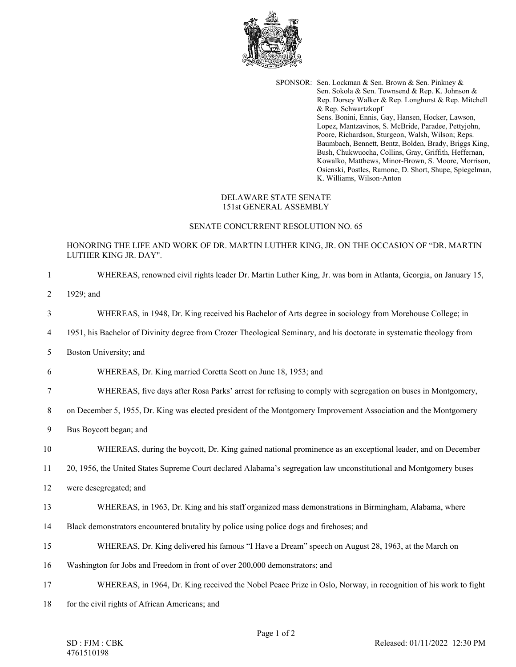

SPONSOR: Sen. Lockman & Sen. Brown & Sen. Pinkney & Sen. Sokola & Sen. Townsend & Rep. K. Johnson & Rep. Dorsey Walker & Rep. Longhurst & Rep. Mitchell & Rep. Schwartzkopf Sens. Bonini, Ennis, Gay, Hansen, Hocker, Lawson, Lopez, Mantzavinos, S. McBride, Paradee, Pettyjohn, Poore, Richardson, Sturgeon, Walsh, Wilson; Reps. Baumbach, Bennett, Bentz, Bolden, Brady, Briggs King, Bush, Chukwuocha, Collins, Gray, Griffith, Heffernan, Kowalko, Matthews, Minor-Brown, S. Moore, Morrison, Osienski, Postles, Ramone, D. Short, Shupe, Spiegelman, K. Williams, Wilson-Anton

## DELAWARE STATE SENATE 151st GENERAL ASSEMBLY

## SENATE CONCURRENT RESOLUTION NO. 65

## HONORING THE LIFE AND WORK OF DR. MARTIN LUTHER KING, JR. ON THE OCCASION OF "DR. MARTIN LUTHER KING JR. DAY".

| $\mathbf{1}$   | WHEREAS, renowned civil rights leader Dr. Martin Luther King, Jr. was born in Atlanta, Georgia, on January 15,        |
|----------------|-----------------------------------------------------------------------------------------------------------------------|
| $\overline{2}$ | 1929; and                                                                                                             |
| 3              | WHEREAS, in 1948, Dr. King received his Bachelor of Arts degree in sociology from Morehouse College; in               |
| 4              | 1951, his Bachelor of Divinity degree from Crozer Theological Seminary, and his doctorate in systematic theology from |
| 5              | Boston University; and                                                                                                |
| 6              | WHEREAS, Dr. King married Coretta Scott on June 18, 1953; and                                                         |
| 7              | WHEREAS, five days after Rosa Parks' arrest for refusing to comply with segregation on buses in Montgomery,           |
| 8              | on December 5, 1955, Dr. King was elected president of the Montgomery Improvement Association and the Montgomery      |
| 9              | Bus Boycott began; and                                                                                                |
| 10             | WHEREAS, during the boycott, Dr. King gained national prominence as an exceptional leader, and on December            |
| 11             | 20, 1956, the United States Supreme Court declared Alabama's segregation law unconstitutional and Montgomery buses    |
| 12             | were desegregated; and                                                                                                |
| 13             | WHEREAS, in 1963, Dr. King and his staff organized mass demonstrations in Birmingham, Alabama, where                  |
| 14             | Black demonstrators encountered brutality by police using police dogs and firehoses; and                              |
| 15             | WHEREAS, Dr. King delivered his famous "I Have a Dream" speech on August 28, 1963, at the March on                    |
| 16             | Washington for Jobs and Freedom in front of over 200,000 demonstrators; and                                           |
| 17             | WHEREAS, in 1964, Dr. King received the Nobel Peace Prize in Oslo, Norway, in recognition of his work to fight        |
| 18             | for the civil rights of African Americans; and                                                                        |